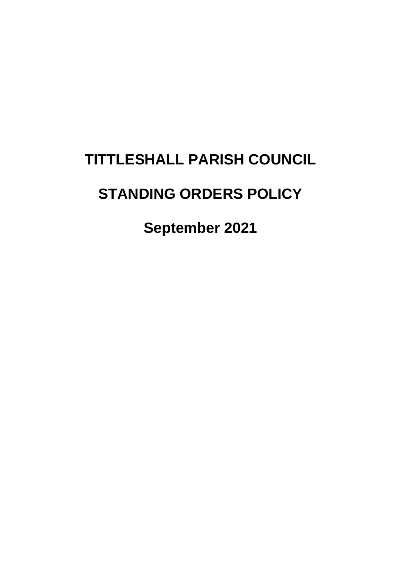# **TITTLESHALL PARISH COUNCIL**

# **STANDING ORDERS POLICY**

**September 2021**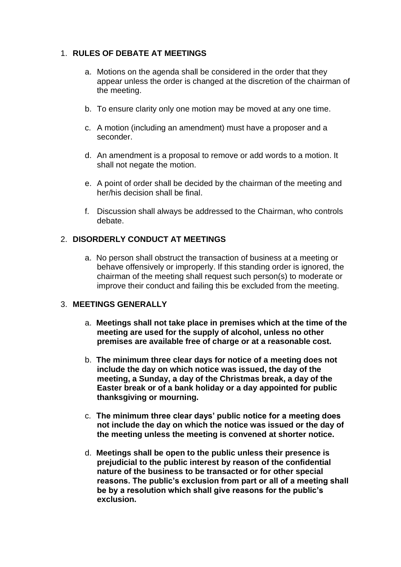# 1. **RULES OF DEBATE AT MEETINGS**

- a. Motions on the agenda shall be considered in the order that they appear unless the order is changed at the discretion of the chairman of the meeting.
- b. To ensure clarity only one motion may be moved at any one time.
- c. A motion (including an amendment) must have a proposer and a seconder.
- d. An amendment is a proposal to remove or add words to a motion. It shall not negate the motion.
- e. A point of order shall be decided by the chairman of the meeting and her/his decision shall be final.
- f. Discussion shall always be addressed to the Chairman, who controls debate.

# 2. **DISORDERLY CONDUCT AT MEETINGS**

a. No person shall obstruct the transaction of business at a meeting or behave offensively or improperly. If this standing order is ignored, the chairman of the meeting shall request such person(s) to moderate or improve their conduct and failing this be excluded from the meeting.

# 3. **MEETINGS GENERALLY**

- a. **Meetings shall not take place in premises which at the time of the meeting are used for the supply of alcohol, unless no other premises are available free of charge or at a reasonable cost.**
- b. **The minimum three clear days for notice of a meeting does not include the day on which notice was issued, the day of the meeting, a Sunday, a day of the Christmas break, a day of the Easter break or of a bank holiday or a day appointed for public thanksgiving or mourning.**
- c. **The minimum three clear days' public notice for a meeting does not include the day on which the notice was issued or the day of the meeting unless the meeting is convened at shorter notice.**
- d. **Meetings shall be open to the public unless their presence is prejudicial to the public interest by reason of the confidential nature of the business to be transacted or for other special reasons. The public's exclusion from part or all of a meeting shall be by a resolution which shall give reasons for the public's exclusion.**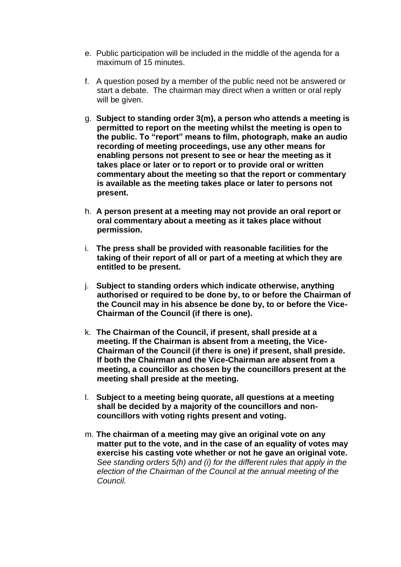- e. Public participation will be included in the middle of the agenda for a maximum of 15 minutes.
- f. A question posed by a member of the public need not be answered or start a debate. The chairman may direct when a written or oral reply will be given.
- g. **Subject to standing order 3(m), a person who attends a meeting is permitted to report on the meeting whilst the meeting is open to the public. To "report" means to film, photograph, make an audio recording of meeting proceedings, use any other means for enabling persons not present to see or hear the meeting as it takes place or later or to report or to provide oral or written commentary about the meeting so that the report or commentary is available as the meeting takes place or later to persons not present.**
- h. **A person present at a meeting may not provide an oral report or oral commentary about a meeting as it takes place without permission.**
- i. **The press shall be provided with reasonable facilities for the taking of their report of all or part of a meeting at which they are entitled to be present.**
- j. **Subject to standing orders which indicate otherwise, anything authorised or required to be done by, to or before the Chairman of the Council may in his absence be done by, to or before the Vice-Chairman of the Council (if there is one).**
- k. **The Chairman of the Council, if present, shall preside at a meeting. If the Chairman is absent from a meeting, the Vice-Chairman of the Council (if there is one) if present, shall preside. If both the Chairman and the Vice-Chairman are absent from a meeting, a councillor as chosen by the councillors present at the meeting shall preside at the meeting.**
- l. **Subject to a meeting being quorate, all questions at a meeting shall be decided by a majority of the councillors and noncouncillors with voting rights present and voting.**
- m. **The chairman of a meeting may give an original vote on any matter put to the vote, and in the case of an equality of votes may exercise his casting vote whether or not he gave an original vote.** *See standing orders 5(h) and (i) for the different rules that apply in the election of the Chairman of the Council at the annual meeting of the Council.*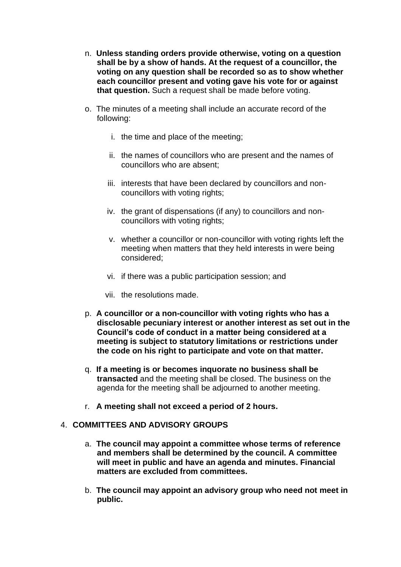- n. **Unless standing orders provide otherwise, voting on a question shall be by a show of hands. At the request of a councillor, the voting on any question shall be recorded so as to show whether each councillor present and voting gave his vote for or against that question.** Such a request shall be made before voting.
- o. The minutes of a meeting shall include an accurate record of the following:
	- i. the time and place of the meeting;
	- ii. the names of councillors who are present and the names of councillors who are absent;
	- iii. interests that have been declared by councillors and noncouncillors with voting rights;
	- iv. the grant of dispensations (if any) to councillors and noncouncillors with voting rights;
	- v. whether a councillor or non-councillor with voting rights left the meeting when matters that they held interests in were being considered;
	- vi. if there was a public participation session; and
	- vii. the resolutions made.
- p. **A councillor or a non-councillor with voting rights who has a disclosable pecuniary interest or another interest as set out in the Council's code of conduct in a matter being considered at a meeting is subject to statutory limitations or restrictions under the code on his right to participate and vote on that matter.**
- q. **If a meeting is or becomes inquorate no business shall be transacted** and the meeting shall be closed. The business on the agenda for the meeting shall be adjourned to another meeting.
- r. **A meeting shall not exceed a period of 2 hours.**

#### 4. **COMMITTEES AND ADVISORY GROUPS**

- a. **The council may appoint a committee whose terms of reference and members shall be determined by the council. A committee will meet in public and have an agenda and minutes. Financial matters are excluded from committees.**
- b. **The council may appoint an advisory group who need not meet in public.**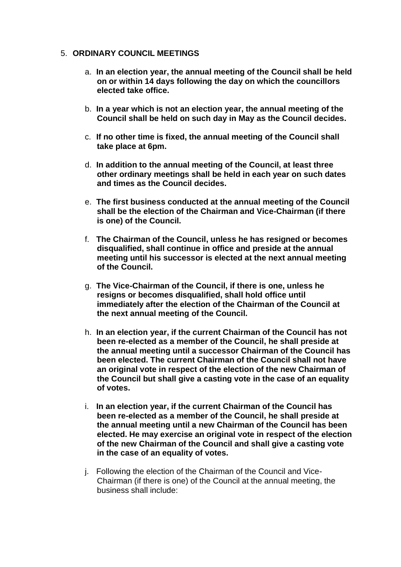#### 5. **ORDINARY COUNCIL MEETINGS**

- a. **In an election year, the annual meeting of the Council shall be held on or within 14 days following the day on which the councillors elected take office.**
- b. **In a year which is not an election year, the annual meeting of the Council shall be held on such day in May as the Council decides.**
- c. **If no other time is fixed, the annual meeting of the Council shall take place at 6pm.**
- d. **In addition to the annual meeting of the Council, at least three other ordinary meetings shall be held in each year on such dates and times as the Council decides.**
- e. **The first business conducted at the annual meeting of the Council shall be the election of the Chairman and Vice-Chairman (if there is one) of the Council.**
- f. **The Chairman of the Council, unless he has resigned or becomes disqualified, shall continue in office and preside at the annual meeting until his successor is elected at the next annual meeting of the Council.**
- g. **The Vice-Chairman of the Council, if there is one, unless he resigns or becomes disqualified, shall hold office until immediately after the election of the Chairman of the Council at the next annual meeting of the Council.**
- h. **In an election year, if the current Chairman of the Council has not been re-elected as a member of the Council, he shall preside at the annual meeting until a successor Chairman of the Council has been elected. The current Chairman of the Council shall not have an original vote in respect of the election of the new Chairman of the Council but shall give a casting vote in the case of an equality of votes.**
- i. **In an election year, if the current Chairman of the Council has been re-elected as a member of the Council, he shall preside at the annual meeting until a new Chairman of the Council has been elected. He may exercise an original vote in respect of the election of the new Chairman of the Council and shall give a casting vote in the case of an equality of votes.**
- j. Following the election of the Chairman of the Council and Vice-Chairman (if there is one) of the Council at the annual meeting, the business shall include: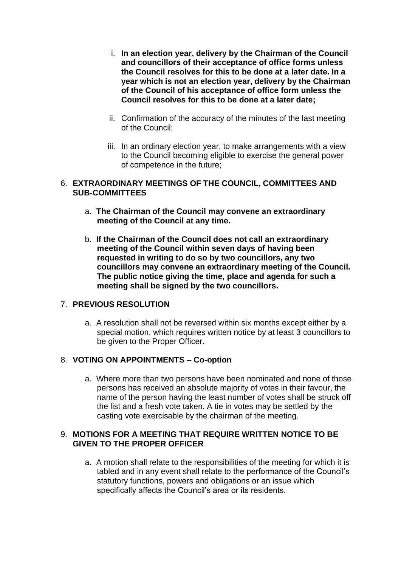- i. **In an election year, delivery by the Chairman of the Council and councillors of their acceptance of office forms unless the Council resolves for this to be done at a later date. In a year which is not an election year, delivery by the Chairman of the Council of his acceptance of office form unless the Council resolves for this to be done at a later date;**
- ii. Confirmation of the accuracy of the minutes of the last meeting of the Council;
- iii. In an ordinary election year, to make arrangements with a view to the Council becoming eligible to exercise the general power of competence in the future;

#### 6. **EXTRAORDINARY MEETINGS OF THE COUNCIL, COMMITTEES AND SUB-COMMITTEES**

- a. **The Chairman of the Council may convene an extraordinary meeting of the Council at any time.**
- b. **If the Chairman of the Council does not call an extraordinary meeting of the Council within seven days of having been requested in writing to do so by two councillors, any two councillors may convene an extraordinary meeting of the Council. The public notice giving the time, place and agenda for such a meeting shall be signed by the two councillors.**

# 7. **PREVIOUS RESOLUTION**

a. A resolution shall not be reversed within six months except either by a special motion, which requires written notice by at least 3 councillors to be given to the Proper Officer.

#### 8. **VOTING ON APPOINTMENTS – Co-option**

a. Where more than two persons have been nominated and none of those persons has received an absolute majority of votes in their favour, the name of the person having the least number of votes shall be struck off the list and a fresh vote taken. A tie in votes may be settled by the casting vote exercisable by the chairman of the meeting.

#### 9. **MOTIONS FOR A MEETING THAT REQUIRE WRITTEN NOTICE TO BE GIVEN TO THE PROPER OFFICER**

a. A motion shall relate to the responsibilities of the meeting for which it is tabled and in any event shall relate to the performance of the Council's statutory functions, powers and obligations or an issue which specifically affects the Council's area or its residents.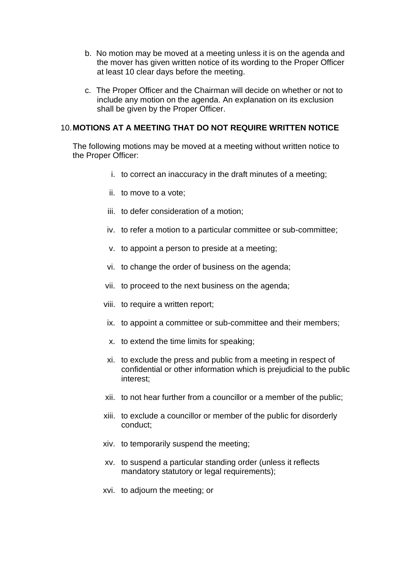- b. No motion may be moved at a meeting unless it is on the agenda and the mover has given written notice of its wording to the Proper Officer at least 10 clear days before the meeting.
- c. The Proper Officer and the Chairman will decide on whether or not to include any motion on the agenda. An explanation on its exclusion shall be given by the Proper Officer.

#### 10.**MOTIONS AT A MEETING THAT DO NOT REQUIRE WRITTEN NOTICE**

The following motions may be moved at a meeting without written notice to the Proper Officer:

- i. to correct an inaccuracy in the draft minutes of a meeting;
- ii. to move to a vote;
- iii. to defer consideration of a motion;
- iv. to refer a motion to a particular committee or sub-committee;
- v. to appoint a person to preside at a meeting;
- vi. to change the order of business on the agenda;
- vii. to proceed to the next business on the agenda;
- viii. to require a written report;
- ix. to appoint a committee or sub-committee and their members;
- x. to extend the time limits for speaking;
- xi. to exclude the press and public from a meeting in respect of confidential or other information which is prejudicial to the public interest;
- xii. to not hear further from a councillor or a member of the public;
- xiii. to exclude a councillor or member of the public for disorderly conduct;
- xiv. to temporarily suspend the meeting;
- xv. to suspend a particular standing order (unless it reflects mandatory statutory or legal requirements);
- xvi. to adjourn the meeting; or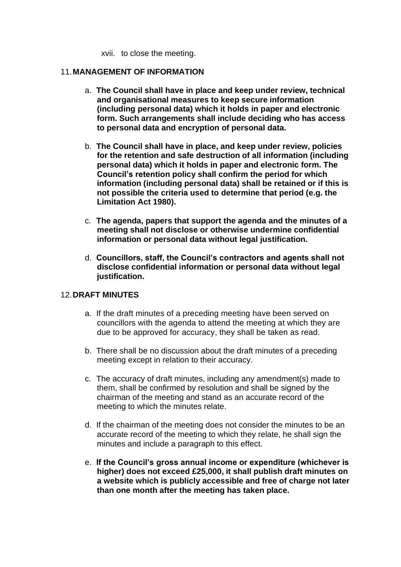xvii. to close the meeting.

#### 11.**MANAGEMENT OF INFORMATION**

- a. **The Council shall have in place and keep under review, technical and organisational measures to keep secure information (including personal data) which it holds in paper and electronic form. Such arrangements shall include deciding who has access to personal data and encryption of personal data.**
- b. **The Council shall have in place, and keep under review, policies for the retention and safe destruction of all information (including personal data) which it holds in paper and electronic form. The Council's retention policy shall confirm the period for which information (including personal data) shall be retained or if this is not possible the criteria used to determine that period (e.g. the Limitation Act 1980).**
- c. **The agenda, papers that support the agenda and the minutes of a meeting shall not disclose or otherwise undermine confidential information or personal data without legal justification.**
- d. **Councillors, staff, the Council's contractors and agents shall not disclose confidential information or personal data without legal justification.**

#### 12.**DRAFT MINUTES**

- a. If the draft minutes of a preceding meeting have been served on councillors with the agenda to attend the meeting at which they are due to be approved for accuracy, they shall be taken as read.
- b. There shall be no discussion about the draft minutes of a preceding meeting except in relation to their accuracy.
- c. The accuracy of draft minutes, including any amendment(s) made to them, shall be confirmed by resolution and shall be signed by the chairman of the meeting and stand as an accurate record of the meeting to which the minutes relate.
- d. If the chairman of the meeting does not consider the minutes to be an accurate record of the meeting to which they relate, he shall sign the minutes and include a paragraph to this effect.
- e. **If the Council's gross annual income or expenditure (whichever is higher) does not exceed £25,000, it shall publish draft minutes on a website which is publicly accessible and free of charge not later than one month after the meeting has taken place.**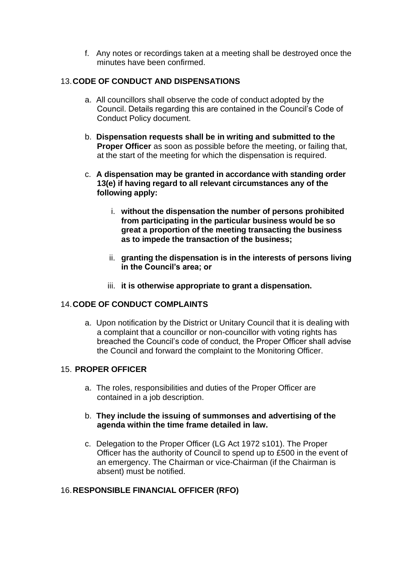f. Any notes or recordings taken at a meeting shall be destroyed once the minutes have been confirmed.

# 13.**CODE OF CONDUCT AND DISPENSATIONS**

- a. All councillors shall observe the code of conduct adopted by the Council. Details regarding this are contained in the Council's Code of Conduct Policy document.
- b. **Dispensation requests shall be in writing and submitted to the Proper Officer** as soon as possible before the meeting, or failing that, at the start of the meeting for which the dispensation is required.
- c. **A dispensation may be granted in accordance with standing order 13(e) if having regard to all relevant circumstances any of the following apply:**
	- i. **without the dispensation the number of persons prohibited from participating in the particular business would be so great a proportion of the meeting transacting the business as to impede the transaction of the business;**
	- ii. **granting the dispensation is in the interests of persons living in the Council's area; or**
	- iii. **it is otherwise appropriate to grant a dispensation.**

# 14.**CODE OF CONDUCT COMPLAINTS**

a. Upon notification by the District or Unitary Council that it is dealing with a complaint that a councillor or non-councillor with voting rights has breached the Council's code of conduct, the Proper Officer shall advise the Council and forward the complaint to the Monitoring Officer.

#### 15. **PROPER OFFICER**

- a. The roles, responsibilities and duties of the Proper Officer are contained in a job description.
- b. **They include the issuing of summonses and advertising of the agenda within the time frame detailed in law.**
- c. Delegation to the Proper Officer (LG Act 1972 s101). The Proper Officer has the authority of Council to spend up to £500 in the event of an emergency. The Chairman or vice-Chairman (if the Chairman is absent) must be notified.

# 16.**RESPONSIBLE FINANCIAL OFFICER (RFO)**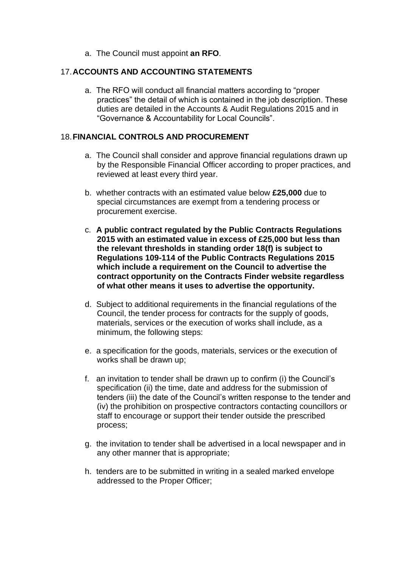a. The Council must appoint **an RFO**.

#### 17.**ACCOUNTS AND ACCOUNTING STATEMENTS**

a. The RFO will conduct all financial matters according to "proper practices" the detail of which is contained in the job description. These duties are detailed in the Accounts & Audit Regulations 2015 and in "Governance & Accountability for Local Councils".

## 18.**FINANCIAL CONTROLS AND PROCUREMENT**

- a. The Council shall consider and approve financial regulations drawn up by the Responsible Financial Officer according to proper practices, and reviewed at least every third year.
- b. whether contracts with an estimated value below **£25,000** due to special circumstances are exempt from a tendering process or procurement exercise.
- c. **A public contract regulated by the Public Contracts Regulations 2015 with an estimated value in excess of £25,000 but less than the relevant thresholds in standing order 18(f) is subject to Regulations 109-114 of the Public Contracts Regulations 2015 which include a requirement on the Council to advertise the contract opportunity on the Contracts Finder website regardless of what other means it uses to advertise the opportunity.**
- d. Subject to additional requirements in the financial regulations of the Council, the tender process for contracts for the supply of goods, materials, services or the execution of works shall include, as a minimum, the following steps:
- e. a specification for the goods, materials, services or the execution of works shall be drawn up;
- f. an invitation to tender shall be drawn up to confirm (i) the Council's specification (ii) the time, date and address for the submission of tenders (iii) the date of the Council's written response to the tender and (iv) the prohibition on prospective contractors contacting councillors or staff to encourage or support their tender outside the prescribed process;
- g. the invitation to tender shall be advertised in a local newspaper and in any other manner that is appropriate;
- h. tenders are to be submitted in writing in a sealed marked envelope addressed to the Proper Officer;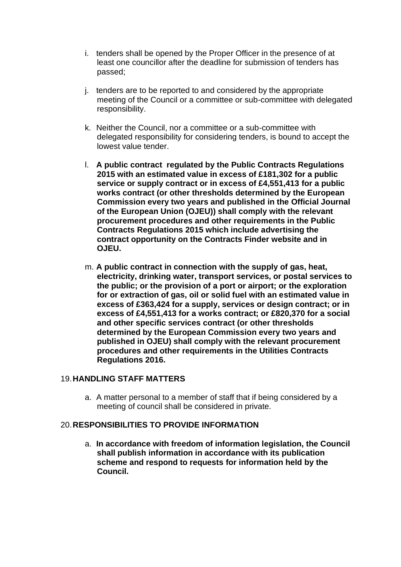- i. tenders shall be opened by the Proper Officer in the presence of at least one councillor after the deadline for submission of tenders has passed;
- j. tenders are to be reported to and considered by the appropriate meeting of the Council or a committee or sub-committee with delegated responsibility.
- k. Neither the Council, nor a committee or a sub-committee with delegated responsibility for considering tenders, is bound to accept the lowest value tender.
- l. **A public contract regulated by the Public Contracts Regulations 2015 with an estimated value in excess of £181,302 for a public service or supply contract or in excess of £4,551,413 for a public works contract (or other thresholds determined by the European Commission every two years and published in the Official Journal of the European Union (OJEU)) shall comply with the relevant procurement procedures and other requirements in the Public Contracts Regulations 2015 which include advertising the contract opportunity on the Contracts Finder website and in OJEU.**
- m. **A public contract in connection with the supply of gas, heat, electricity, drinking water, transport services, or postal services to the public; or the provision of a port or airport; or the exploration for or extraction of gas, oil or solid fuel with an estimated value in excess of £363,424 for a supply, services or design contract; or in excess of £4,551,413 for a works contract; or £820,370 for a social and other specific services contract (or other thresholds determined by the European Commission every two years and published in OJEU) shall comply with the relevant procurement procedures and other requirements in the Utilities Contracts Regulations 2016.**

#### 19.**HANDLING STAFF MATTERS**

a. A matter personal to a member of staff that if being considered by a meeting of council shall be considered in private.

#### 20.**RESPONSIBILITIES TO PROVIDE INFORMATION**

a. **In accordance with freedom of information legislation, the Council shall publish information in accordance with its publication scheme and respond to requests for information held by the Council.**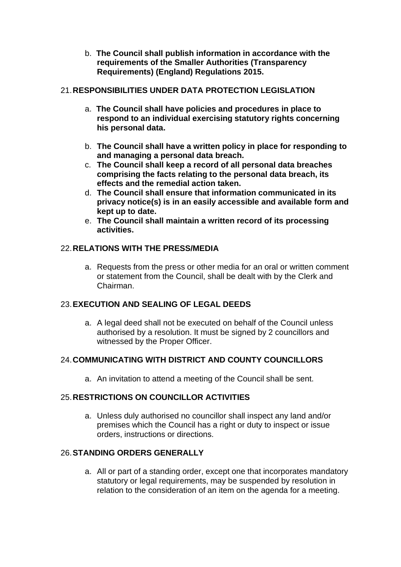b. **The Council shall publish information in accordance with the requirements of the Smaller Authorities (Transparency Requirements) (England) Regulations 2015.**

# 21.**RESPONSIBILITIES UNDER DATA PROTECTION LEGISLATION**

- a. **The Council shall have policies and procedures in place to respond to an individual exercising statutory rights concerning his personal data.**
- b. **The Council shall have a written policy in place for responding to and managing a personal data breach.**
- c. **The Council shall keep a record of all personal data breaches comprising the facts relating to the personal data breach, its effects and the remedial action taken.**
- d. **The Council shall ensure that information communicated in its privacy notice(s) is in an easily accessible and available form and kept up to date.**
- e. **The Council shall maintain a written record of its processing activities.**

## 22.**RELATIONS WITH THE PRESS/MEDIA**

a. Requests from the press or other media for an oral or written comment or statement from the Council, shall be dealt with by the Clerk and Chairman.

# 23.**EXECUTION AND SEALING OF LEGAL DEEDS**

a. A legal deed shall not be executed on behalf of the Council unless authorised by a resolution. It must be signed by 2 councillors and witnessed by the Proper Officer.

# 24.**COMMUNICATING WITH DISTRICT AND COUNTY COUNCILLORS**

a. An invitation to attend a meeting of the Council shall be sent.

# 25.**RESTRICTIONS ON COUNCILLOR ACTIVITIES**

a. Unless duly authorised no councillor shall inspect any land and/or premises which the Council has a right or duty to inspect or issue orders, instructions or directions.

#### 26.**STANDING ORDERS GENERALLY**

a. All or part of a standing order, except one that incorporates mandatory statutory or legal requirements, may be suspended by resolution in relation to the consideration of an item on the agenda for a meeting.